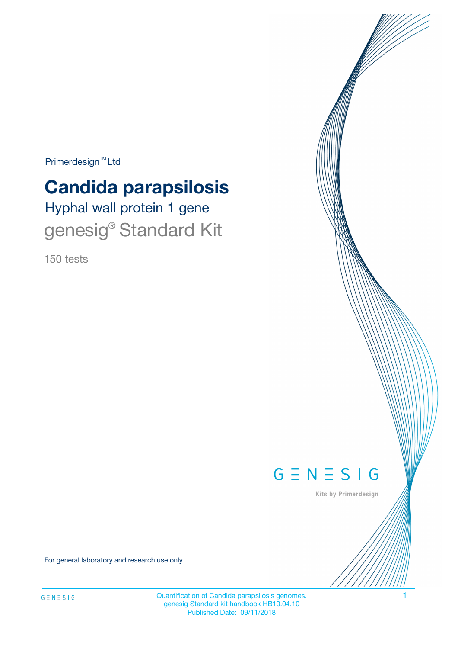$Primerdesign^{\text{TM}}Ltd$ 

# **Candida parapsilosis**

Hyphal wall protein 1 gene genesig® Standard Kit

150 tests



Kits by Primerdesign

For general laboratory and research use only

Quantification of Candida parapsilosis genomes. 1 genesig Standard kit handbook HB10.04.10 Published Date: 09/11/2018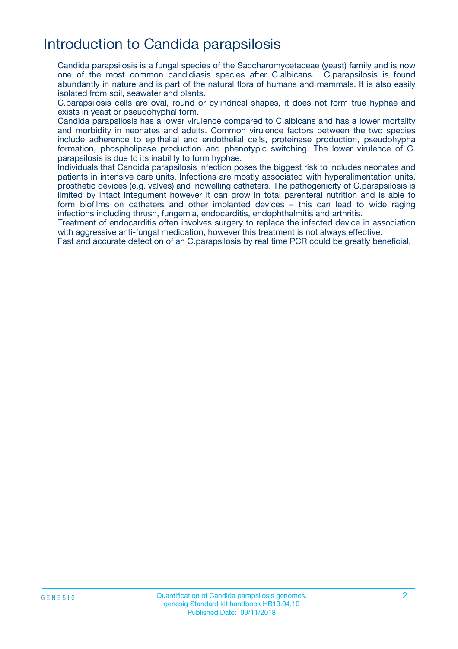# Introduction to Candida parapsilosis

Candida parapsilosis is a fungal species of the Saccharomycetaceae (yeast) family and is now one of the most common candidiasis species after C.albicans. C.parapsilosis is found abundantly in nature and is part of the natural flora of humans and mammals. It is also easily isolated from soil, seawater and plants.

C.parapsilosis cells are oval, round or cylindrical shapes, it does not form true hyphae and exists in yeast or pseudohyphal form.

Candida parapsilosis has a lower virulence compared to C.albicans and has a lower mortality and morbidity in neonates and adults. Common virulence factors between the two species include adherence to epithelial and endothelial cells, proteinase production, pseudohypha formation, phospholipase production and phenotypic switching. The lower virulence of C. parapsilosis is due to its inability to form hyphae.

Individuals that Candida parapsilosis infection poses the biggest risk to includes neonates and patients in intensive care units. Infections are mostly associated with hyperalimentation units, prosthetic devices (e.g. valves) and indwelling catheters. The pathogenicity of C.parapsilosis is limited by intact integument however it can grow in total parenteral nutrition and is able to form biofilms on catheters and other implanted devices – this can lead to wide raging infections including thrush, fungemia, endocarditis, endophthalmitis and arthritis.

Treatment of endocarditis often involves surgery to replace the infected device in association with aggressive anti-fungal medication, however this treatment is not always effective.

Fast and accurate detection of an C.parapsilosis by real time PCR could be greatly beneficial.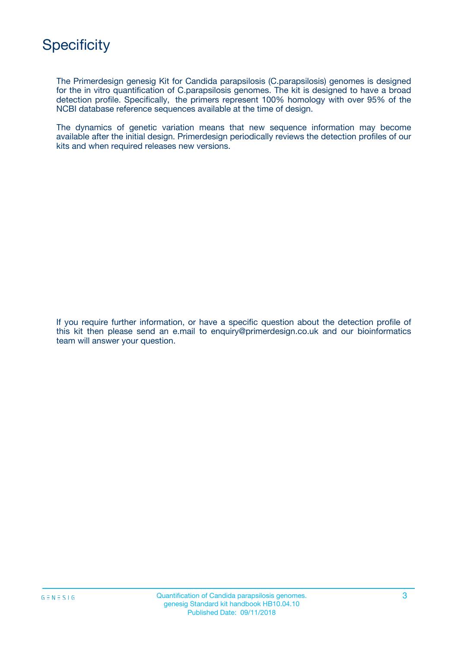

The Primerdesign genesig Kit for Candida parapsilosis (C.parapsilosis) genomes is designed for the in vitro quantification of C.parapsilosis genomes. The kit is designed to have a broad detection profile. Specifically, the primers represent 100% homology with over 95% of the NCBI database reference sequences available at the time of design.

The dynamics of genetic variation means that new sequence information may become available after the initial design. Primerdesign periodically reviews the detection profiles of our kits and when required releases new versions.

If you require further information, or have a specific question about the detection profile of this kit then please send an e.mail to enquiry@primerdesign.co.uk and our bioinformatics team will answer your question.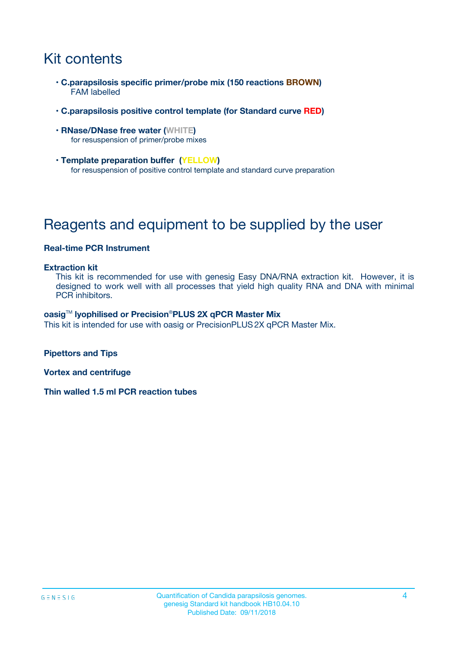# Kit contents

- **C.parapsilosis specific primer/probe mix (150 reactions BROWN)** FAM labelled
- **C.parapsilosis positive control template (for Standard curve RED)**
- **RNase/DNase free water (WHITE)** for resuspension of primer/probe mixes
- **Template preparation buffer (YELLOW)** for resuspension of positive control template and standard curve preparation

# Reagents and equipment to be supplied by the user

#### **Real-time PCR Instrument**

#### **Extraction kit**

This kit is recommended for use with genesig Easy DNA/RNA extraction kit. However, it is designed to work well with all processes that yield high quality RNA and DNA with minimal PCR inhibitors.

#### **oasig**TM **lyophilised or Precision**®**PLUS 2X qPCR Master Mix**

This kit is intended for use with oasig or PrecisionPLUS2X qPCR Master Mix.

**Pipettors and Tips**

**Vortex and centrifuge**

**Thin walled 1.5 ml PCR reaction tubes**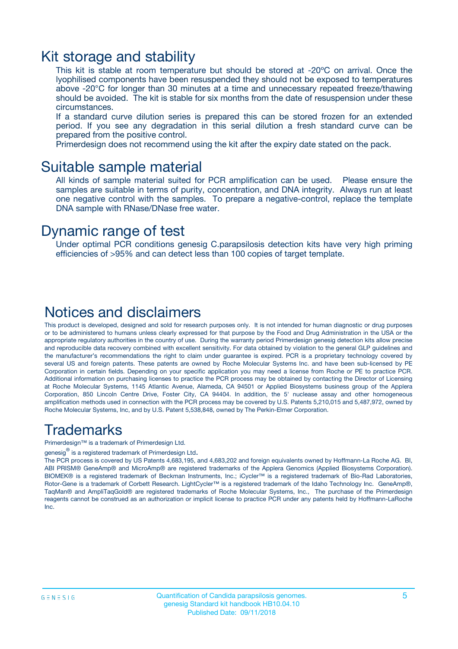### Kit storage and stability

This kit is stable at room temperature but should be stored at -20ºC on arrival. Once the lyophilised components have been resuspended they should not be exposed to temperatures above -20°C for longer than 30 minutes at a time and unnecessary repeated freeze/thawing should be avoided. The kit is stable for six months from the date of resuspension under these circumstances.

If a standard curve dilution series is prepared this can be stored frozen for an extended period. If you see any degradation in this serial dilution a fresh standard curve can be prepared from the positive control.

Primerdesign does not recommend using the kit after the expiry date stated on the pack.

### Suitable sample material

All kinds of sample material suited for PCR amplification can be used. Please ensure the samples are suitable in terms of purity, concentration, and DNA integrity. Always run at least one negative control with the samples. To prepare a negative-control, replace the template DNA sample with RNase/DNase free water.

### Dynamic range of test

Under optimal PCR conditions genesig C.parapsilosis detection kits have very high priming efficiencies of >95% and can detect less than 100 copies of target template.

### Notices and disclaimers

This product is developed, designed and sold for research purposes only. It is not intended for human diagnostic or drug purposes or to be administered to humans unless clearly expressed for that purpose by the Food and Drug Administration in the USA or the appropriate regulatory authorities in the country of use. During the warranty period Primerdesign genesig detection kits allow precise and reproducible data recovery combined with excellent sensitivity. For data obtained by violation to the general GLP guidelines and the manufacturer's recommendations the right to claim under guarantee is expired. PCR is a proprietary technology covered by several US and foreign patents. These patents are owned by Roche Molecular Systems Inc. and have been sub-licensed by PE Corporation in certain fields. Depending on your specific application you may need a license from Roche or PE to practice PCR. Additional information on purchasing licenses to practice the PCR process may be obtained by contacting the Director of Licensing at Roche Molecular Systems, 1145 Atlantic Avenue, Alameda, CA 94501 or Applied Biosystems business group of the Applera Corporation, 850 Lincoln Centre Drive, Foster City, CA 94404. In addition, the 5' nuclease assay and other homogeneous amplification methods used in connection with the PCR process may be covered by U.S. Patents 5,210,015 and 5,487,972, owned by Roche Molecular Systems, Inc, and by U.S. Patent 5,538,848, owned by The Perkin-Elmer Corporation.

### Trademarks

Primerdesign™ is a trademark of Primerdesign Ltd.

genesig $^\circledR$  is a registered trademark of Primerdesign Ltd.

The PCR process is covered by US Patents 4,683,195, and 4,683,202 and foreign equivalents owned by Hoffmann-La Roche AG. BI, ABI PRISM® GeneAmp® and MicroAmp® are registered trademarks of the Applera Genomics (Applied Biosystems Corporation). BIOMEK® is a registered trademark of Beckman Instruments, Inc.; iCycler™ is a registered trademark of Bio-Rad Laboratories, Rotor-Gene is a trademark of Corbett Research. LightCycler™ is a registered trademark of the Idaho Technology Inc. GeneAmp®, TaqMan® and AmpliTaqGold® are registered trademarks of Roche Molecular Systems, Inc., The purchase of the Primerdesign reagents cannot be construed as an authorization or implicit license to practice PCR under any patents held by Hoffmann-LaRoche Inc.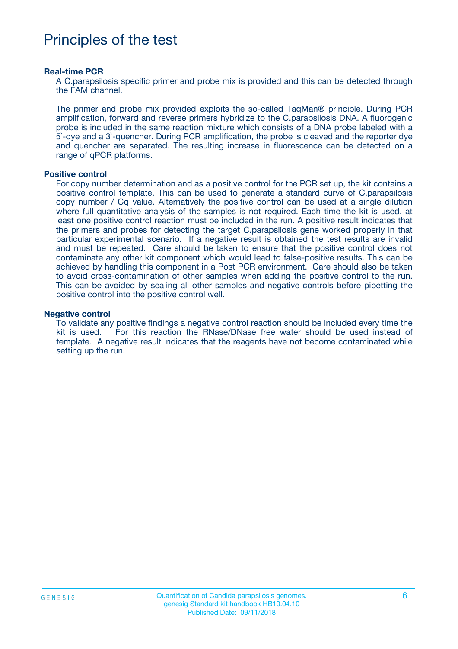# Principles of the test

#### **Real-time PCR**

A C.parapsilosis specific primer and probe mix is provided and this can be detected through the FAM channel.

The primer and probe mix provided exploits the so-called TaqMan® principle. During PCR amplification, forward and reverse primers hybridize to the C.parapsilosis DNA. A fluorogenic probe is included in the same reaction mixture which consists of a DNA probe labeled with a 5`-dye and a 3`-quencher. During PCR amplification, the probe is cleaved and the reporter dye and quencher are separated. The resulting increase in fluorescence can be detected on a range of qPCR platforms.

#### **Positive control**

For copy number determination and as a positive control for the PCR set up, the kit contains a positive control template. This can be used to generate a standard curve of C.parapsilosis copy number / Cq value. Alternatively the positive control can be used at a single dilution where full quantitative analysis of the samples is not required. Each time the kit is used, at least one positive control reaction must be included in the run. A positive result indicates that the primers and probes for detecting the target C.parapsilosis gene worked properly in that particular experimental scenario. If a negative result is obtained the test results are invalid and must be repeated. Care should be taken to ensure that the positive control does not contaminate any other kit component which would lead to false-positive results. This can be achieved by handling this component in a Post PCR environment. Care should also be taken to avoid cross-contamination of other samples when adding the positive control to the run. This can be avoided by sealing all other samples and negative controls before pipetting the positive control into the positive control well.

#### **Negative control**

To validate any positive findings a negative control reaction should be included every time the kit is used. For this reaction the RNase/DNase free water should be used instead of template. A negative result indicates that the reagents have not become contaminated while setting up the run.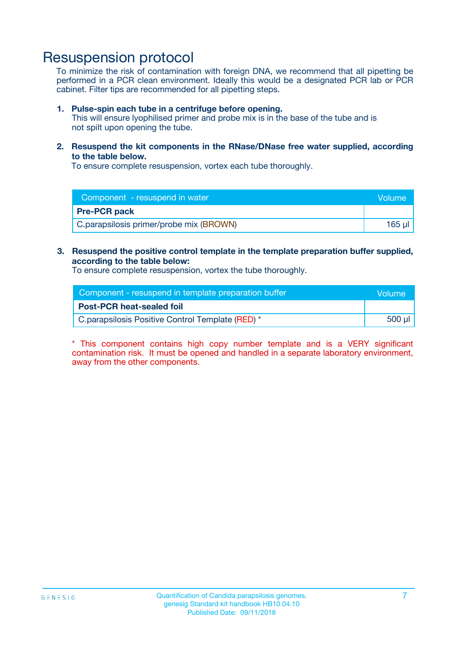## Resuspension protocol

To minimize the risk of contamination with foreign DNA, we recommend that all pipetting be performed in a PCR clean environment. Ideally this would be a designated PCR lab or PCR cabinet. Filter tips are recommended for all pipetting steps.

#### **1. Pulse-spin each tube in a centrifuge before opening.**

This will ensure lyophilised primer and probe mix is in the base of the tube and is not spilt upon opening the tube.

**2. Resuspend the kit components in the RNase/DNase free water supplied, according to the table below.**

To ensure complete resuspension, vortex each tube thoroughly.

| Component - resuspend in water          | Volume |
|-----------------------------------------|--------|
| <b>Pre-PCR pack</b>                     |        |
| C.parapsilosis primer/probe mix (BROWN) | 165 ul |

### **3. Resuspend the positive control template in the template preparation buffer supplied, according to the table below:**

To ensure complete resuspension, vortex the tube thoroughly.

| Component - resuspend in template preparation buffer | Wolume!     |
|------------------------------------------------------|-------------|
| <b>Post-PCR heat-sealed foil</b>                     |             |
| C.parapsilosis Positive Control Template (RED) *     | $500$ $\mu$ |

\* This component contains high copy number template and is a VERY significant contamination risk. It must be opened and handled in a separate laboratory environment, away from the other components.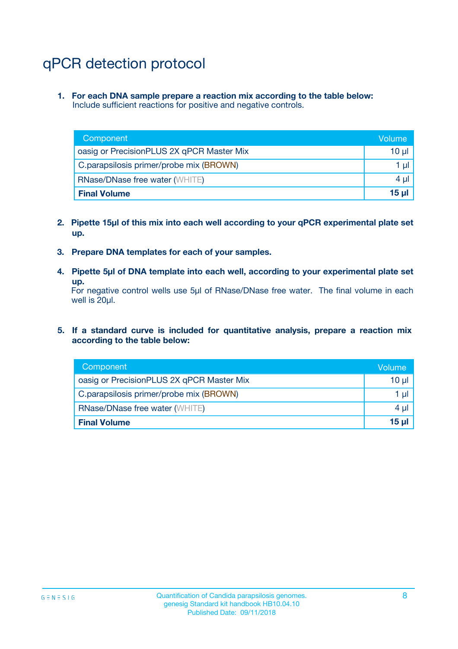# qPCR detection protocol

**1. For each DNA sample prepare a reaction mix according to the table below:** Include sufficient reactions for positive and negative controls.

| Component                                 | Volume   |
|-------------------------------------------|----------|
| oasig or PrecisionPLUS 2X qPCR Master Mix | 10 $\mu$ |
| C.parapsilosis primer/probe mix (BROWN)   | 1 $\mu$  |
| <b>RNase/DNase free water (WHITE)</b>     | $4 \mu$  |
| <b>Final Volume</b>                       | $15 \mu$ |

- **2. Pipette 15µl of this mix into each well according to your qPCR experimental plate set up.**
- **3. Prepare DNA templates for each of your samples.**
- **4. Pipette 5µl of DNA template into each well, according to your experimental plate set up.**

For negative control wells use 5µl of RNase/DNase free water. The final volume in each well is 20µl.

**5. If a standard curve is included for quantitative analysis, prepare a reaction mix according to the table below:**

| Component                                 | Volume     |
|-------------------------------------------|------------|
| oasig or PrecisionPLUS 2X qPCR Master Mix | 10 µl      |
| C.parapsilosis primer/probe mix (BROWN)   | 1 µI       |
| <b>RNase/DNase free water (WHITE)</b>     | $4 \mu$    |
| <b>Final Volume</b>                       | $15$ $\mu$ |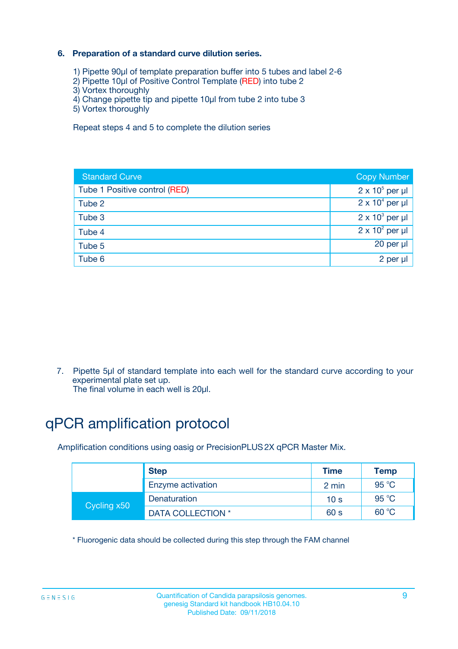### **6. Preparation of a standard curve dilution series.**

- 1) Pipette 90µl of template preparation buffer into 5 tubes and label 2-6
- 2) Pipette 10µl of Positive Control Template (RED) into tube 2
- 3) Vortex thoroughly
- 4) Change pipette tip and pipette 10µl from tube 2 into tube 3
- 5) Vortex thoroughly

Repeat steps 4 and 5 to complete the dilution series

| <b>Standard Curve</b>         | <b>Copy Number</b>     |
|-------------------------------|------------------------|
| Tube 1 Positive control (RED) | $2 \times 10^5$ per µl |
| Tube 2                        | $2 \times 10^4$ per µl |
| Tube 3                        | $2 \times 10^3$ per µl |
| Tube 4                        | $2 \times 10^2$ per µl |
| Tube 5                        | 20 per µl              |
| Tube 6                        | $2$ per $\mu$          |

7. Pipette 5µl of standard template into each well for the standard curve according to your experimental plate set up.

The final volume in each well is 20µl.

# qPCR amplification protocol

Amplification conditions using oasig or PrecisionPLUS2X qPCR Master Mix.

|             | <b>Step</b>       | <b>Time</b>     | <b>Temp</b>    |
|-------------|-------------------|-----------------|----------------|
|             | Enzyme activation | 2 min           | $95^{\circ}$ C |
| Cycling x50 | Denaturation      | 10 <sub>s</sub> | 95 $°C$        |
|             | DATA COLLECTION * | 60 s            | 60 °C          |

\* Fluorogenic data should be collected during this step through the FAM channel